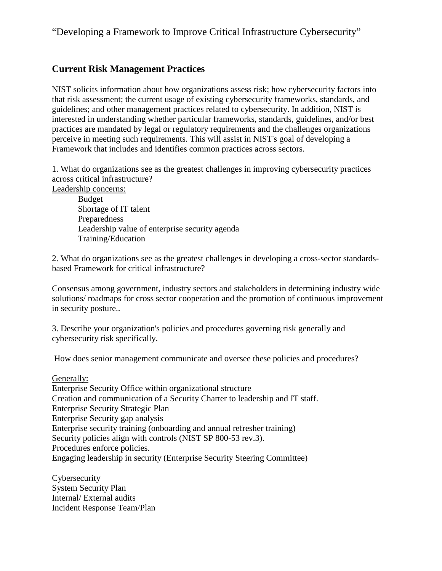### **Current Risk Management Practices**

NIST solicits information about how organizations assess risk; how cybersecurity factors into that risk assessment; the current usage of existing cybersecurity frameworks, standards, and guidelines; and other management practices related to cybersecurity. In addition, NIST is interested in understanding whether particular frameworks, standards, guidelines, and/or best practices are mandated by legal or regulatory requirements and the challenges organizations perceive in meeting such requirements. This will assist in NIST's goal of developing a Framework that includes and identifies common practices across sectors.

1. What do organizations see as the greatest challenges in improving cybersecurity practices across critical infrastructure?

Leadership concerns:

Budget Shortage of IT talent Preparedness Leadership value of enterprise security agenda Training/Education

2. What do organizations see as the greatest challenges in developing a cross-sector standardsbased Framework for critical infrastructure?

Consensus among government, industry sectors and stakeholders in determining industry wide solutions/ roadmaps for cross sector cooperation and the promotion of continuous improvement in security posture..

3. Describe your organization's policies and procedures governing risk generally and cybersecurity risk specifically.

How does senior management communicate and oversee these policies and procedures?

#### Generally:

Enterprise Security Office within organizational structure Creation and communication of a Security Charter to leadership and IT staff. Enterprise Security Strategic Plan Enterprise Security gap analysis Enterprise security training (onboarding and annual refresher training) Security policies align with controls (NIST SP 800-53 rev.3). Procedures enforce policies. Engaging leadership in security (Enterprise Security Steering Committee)

Cybersecurity System Security Plan Internal/ External audits Incident Response Team/Plan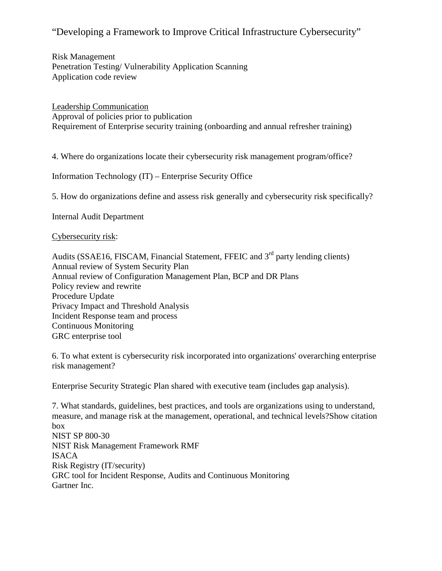Risk Management Penetration Testing/ Vulnerability Application Scanning Application code review

Leadership Communication Approval of policies prior to publication Requirement of Enterprise security training (onboarding and annual refresher training)

4. Where do organizations locate their cybersecurity risk management program/office?

Information Technology (IT) – Enterprise Security Office

5. How do organizations define and assess risk generally and cybersecurity risk specifically?

Internal Audit Department

Cybersecurity risk:

Audits (SSAE16, FISCAM, Financial Statement, FFEIC and 3<sup>rd</sup> party lending clients) Annual review of System Security Plan Annual review of Configuration Management Plan, BCP and DR Plans Policy review and rewrite Procedure Update Privacy Impact and Threshold Analysis Incident Response team and process Continuous Monitoring GRC enterprise tool

6. To what extent is cybersecurity risk incorporated into organizations' overarching enterprise risk management?

Enterprise Security Strategic Plan shared with executive team (includes gap analysis).

7. What standards, guidelines, best practices, and tools are organizations using to understand, measure, and manage risk at the management, operational, and technical levels?Show citation box NIST SP 800-30 NIST Risk Management Framework RMF ISACA Risk Registry (IT/security) GRC tool for Incident Response, Audits and Continuous Monitoring Gartner Inc.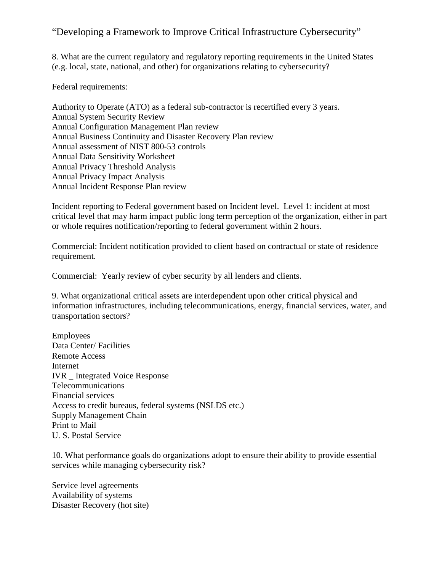8. What are the current regulatory and regulatory reporting requirements in the United States (e.g. local, state, national, and other) for organizations relating to cybersecurity?

Federal requirements:

Authority to Operate (ATO) as a federal sub-contractor is recertified every 3 years. Annual System Security Review Annual Configuration Management Plan review Annual Business Continuity and Disaster Recovery Plan review Annual assessment of NIST 800-53 controls Annual Data Sensitivity Worksheet Annual Privacy Threshold Analysis Annual Privacy Impact Analysis Annual Incident Response Plan review

Incident reporting to Federal government based on Incident level. Level 1: incident at most critical level that may harm impact public long term perception of the organization, either in part or whole requires notification/reporting to federal government within 2 hours.

Commercial: Incident notification provided to client based on contractual or state of residence requirement.

Commercial: Yearly review of cyber security by all lenders and clients.

9. What organizational critical assets are interdependent upon other critical physical and information infrastructures, including telecommunications, energy, financial services, water, and transportation sectors?

Employees Data Center/ Facilities Remote Access Internet IVR \_ Integrated Voice Response Telecommunications Financial services Access to credit bureaus, federal systems (NSLDS etc.) Supply Management Chain Print to Mail U. S. Postal Service

10. What performance goals do organizations adopt to ensure their ability to provide essential services while managing cybersecurity risk?

Service level agreements Availability of systems Disaster Recovery (hot site)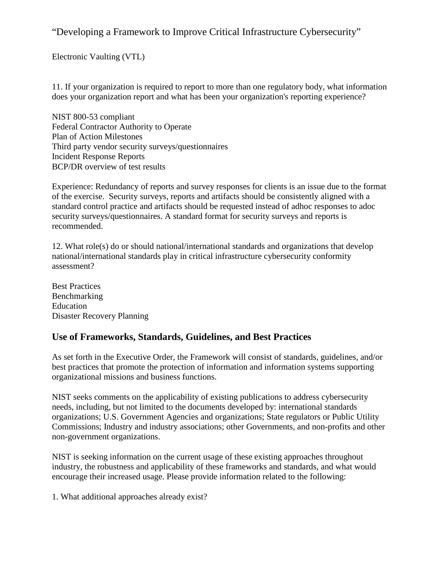Electronic Vaulting (VTL)

11. If your organization is required to report to more than one regulatory body, what information does your organization report and what has been your organization's reporting experience?

NIST 800-53 compliant Federal Contractor Authority to Operate Plan of Action Milestones Third party vendor security surveys/questionnaires Incident Response Reports BCP/DR overview of test results

Experience: Redundancy of reports and survey responses for clients is an issue due to the format of the exercise. Security surveys, reports and artifacts should be consistently aligned with a standard control practice and artifacts should be requested instead of adhoc responses to adoc security surveys/questionnaires. A standard format for security surveys and reports is recommended.

12. What role(s) do or should national/international standards and organizations that develop national/international standards play in critical infrastructure cybersecurity conformity assessment?

Best Practices Benchmarking Education Disaster Recovery Planning

#### **Use of Frameworks, Standards, Guidelines, and Best Practices**

As set forth in the Executive Order, the Framework will consist of standards, guidelines, and/or best practices that promote the protection of information and information systems supporting organizational missions and business functions.

NIST seeks comments on the applicability of existing publications to address cybersecurity needs, including, but not limited to the documents developed by: international standards organizations; U.S. Government Agencies and organizations; State regulators or Public Utility Commissions; Industry and industry associations; other Governments, and non-profits and other non-government organizations.

NIST is seeking information on the current usage of these existing approaches throughout industry, the robustness and applicability of these frameworks and standards, and what would encourage their increased usage. Please provide information related to the following:

1. What additional approaches already exist?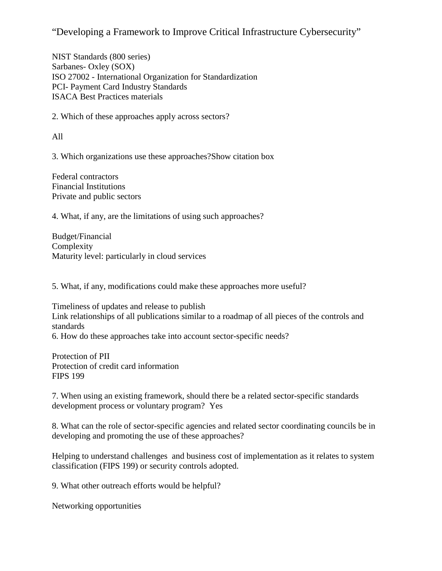NIST Standards (800 series) Sarbanes- Oxley (SOX) ISO 27002 - International Organization for Standardization PCI- Payment Card Industry Standards ISACA Best Practices materials

2. Which of these approaches apply across sectors?

All

3. Which organizations use these approaches?Show citation box

Federal contractors Financial Institutions Private and public sectors

4. What, if any, are the limitations of using such approaches?

Budget/Financial Complexity Maturity level: particularly in cloud services

5. What, if any, modifications could make these approaches more useful?

Timeliness of updates and release to publish Link relationships of all publications similar to a roadmap of all pieces of the controls and standards 6. How do these approaches take into account sector-specific needs?

Protection of PII Protection of credit card information FIPS 199

7. When using an existing framework, should there be a related sector-specific standards development process or voluntary program? Yes

8. What can the role of sector-specific agencies and related sector coordinating councils be in developing and promoting the use of these approaches?

Helping to understand challenges and business cost of implementation as it relates to system classification (FIPS 199) or security controls adopted.

9. What other outreach efforts would be helpful?

Networking opportunities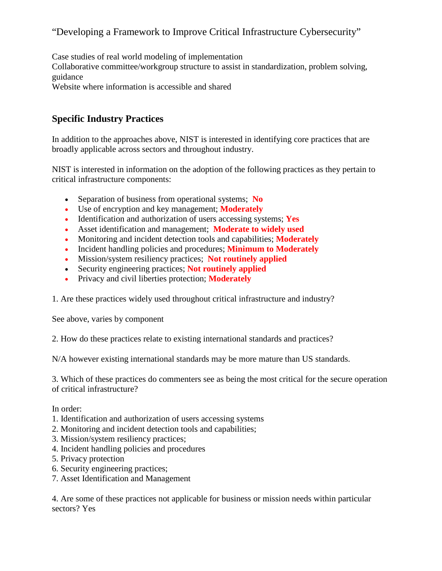Case studies of real world modeling of implementation Collaborative committee/workgroup structure to assist in standardization, problem solving, guidance Website where information is accessible and shared

# **Specific Industry Practices**

In addition to the approaches above, NIST is interested in identifying core practices that are broadly applicable across sectors and throughout industry.

NIST is interested in information on the adoption of the following practices as they pertain to critical infrastructure components:

- Separation of business from operational systems; **No**
- Use of encryption and key management; **Moderately**
- Identification and authorization of users accessing systems; **Yes**
- Asset identification and management; **Moderate to widely used**
- Monitoring and incident detection tools and capabilities; **Moderately**
- Incident handling policies and procedures; **Minimum to Moderately**
- Mission/system resiliency practices; **Not routinely applied**
- Security engineering practices; **Not routinely applied**
- Privacy and civil liberties protection; **Moderately**

1. Are these practices widely used throughout critical infrastructure and industry?

See above, varies by component

2. How do these practices relate to existing international standards and practices?

N/A however existing international standards may be more mature than US standards.

3. Which of these practices do commenters see as being the most critical for the secure operation of critical infrastructure?

In order:

- 1. Identification and authorization of users accessing systems
- 2. Monitoring and incident detection tools and capabilities;
- 3. Mission/system resiliency practices;
- 4. Incident handling policies and procedures
- 5. Privacy protection
- 6. Security engineering practices;
- 7. Asset Identification and Management

4. Are some of these practices not applicable for business or mission needs within particular sectors? Yes